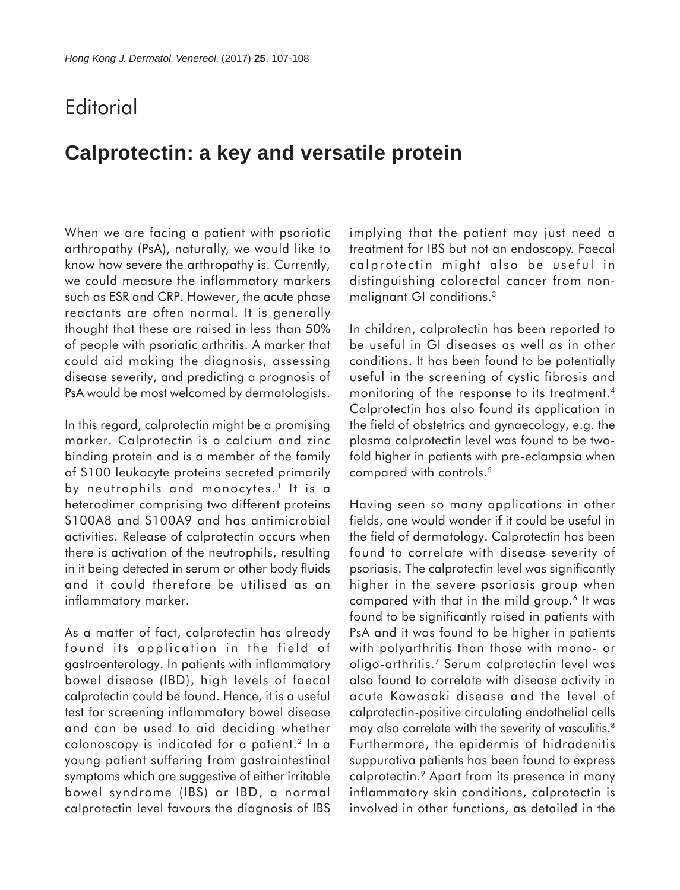## **Editorial**

## **Calprotectin: a key and versatile protein**

When we are facing a patient with psoriatic arthropathy (PsA), naturally, we would like to know how severe the arthropathy is. Currently, we could measure the inflammatory markers such as ESR and CRP. However, the acute phase reactants are often normal. It is generally thought that these are raised in less than 50% of people with psoriatic arthritis. A marker that could aid making the diagnosis, assessing disease severity, and predicting a prognosis of PsA would be most welcomed by dermatologists.

In this regard, calprotectin might be a promising marker. Calprotectin is a calcium and zinc binding protein and is a member of the family of S100 leukocyte proteins secreted primarily by neutrophils and monocytes.<sup>1</sup> It is a heterodimer comprising two different proteins S100A8 and S100A9 and has antimicrobial activities. Release of calprotectin occurs when there is activation of the neutrophils, resulting in it being detected in serum or other body fluids and it could therefore be utilised as an inflammatory marker.

As a matter of fact, calprotectin has already found its application in the field of gastroenterology. In patients with inflammatory bowel disease (IBD), high levels of faecal calprotectin could be found. Hence, it is a useful test for screening inflammatory bowel disease and can be used to aid deciding whether colonoscopy is indicated for a patient.2 In a young patient suffering from gastrointestinal symptoms which are suggestive of either irritable bowel syndrome (IBS) or IBD, a normal calprotectin level favours the diagnosis of IBS

implying that the patient may just need a treatment for IBS but not an endoscopy. Faecal calprotectin might also be useful in distinguishing colorectal cancer from nonmalignant GI conditions.3

In children, calprotectin has been reported to be useful in GI diseases as well as in other conditions. It has been found to be potentially useful in the screening of cystic fibrosis and monitoring of the response to its treatment.<sup>4</sup> Calprotectin has also found its application in the field of obstetrics and gynaecology, e.g. the plasma calprotectin level was found to be twofold higher in patients with pre-eclampsia when compared with controls.<sup>5</sup>

Having seen so many applications in other fields, one would wonder if it could be useful in the field of dermatology. Calprotectin has been found to correlate with disease severity of psoriasis. The calprotectin level was significantly higher in the severe psoriasis group when compared with that in the mild group.6 It was found to be significantly raised in patients with PsA and it was found to be higher in patients with polyarthritis than those with mono- or oligo-arthritis.7 Serum calprotectin level was also found to correlate with disease activity in acute Kawasaki disease and the level of calprotectin-positive circulating endothelial cells may also correlate with the severity of vasculitis.<sup>8</sup> Furthermore, the epidermis of hidradenitis suppurativa patients has been found to express calprotectin.9 Apart from its presence in many inflammatory skin conditions, calprotectin is involved in other functions, as detailed in the